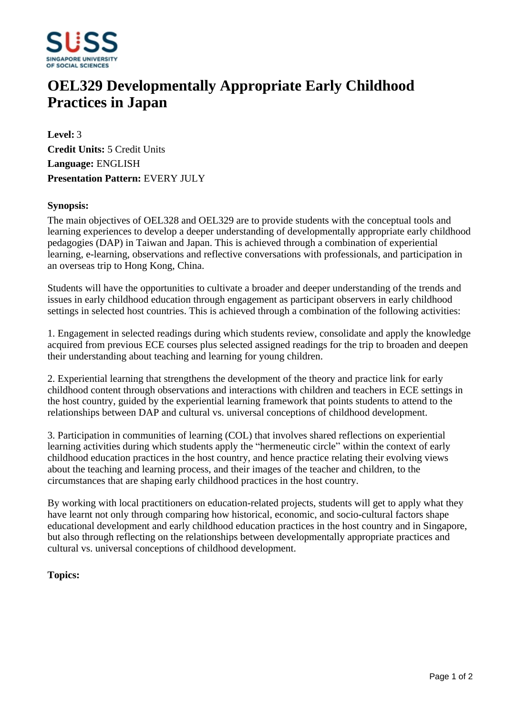

# **OEL329 Developmentally Appropriate Early Childhood Practices in Japan**

**Level:** 3 **Credit Units:** 5 Credit Units **Language:** ENGLISH **Presentation Pattern:** EVERY JULY

### **Synopsis:**

The main objectives of OEL328 and OEL329 are to provide students with the conceptual tools and learning experiences to develop a deeper understanding of developmentally appropriate early childhood pedagogies (DAP) in Taiwan and Japan. This is achieved through a combination of experiential learning, e-learning, observations and reflective conversations with professionals, and participation in an overseas trip to Hong Kong, China.

Students will have the opportunities to cultivate a broader and deeper understanding of the trends and issues in early childhood education through engagement as participant observers in early childhood settings in selected host countries. This is achieved through a combination of the following activities:

1. Engagement in selected readings during which students review, consolidate and apply the knowledge acquired from previous ECE courses plus selected assigned readings for the trip to broaden and deepen their understanding about teaching and learning for young children.

2. Experiential learning that strengthens the development of the theory and practice link for early childhood content through observations and interactions with children and teachers in ECE settings in the host country, guided by the experiential learning framework that points students to attend to the relationships between DAP and cultural vs. universal conceptions of childhood development.

3. Participation in communities of learning (COL) that involves shared reflections on experiential learning activities during which students apply the "hermeneutic circle" within the context of early childhood education practices in the host country, and hence practice relating their evolving views about the teaching and learning process, and their images of the teacher and children, to the circumstances that are shaping early childhood practices in the host country.

By working with local practitioners on education-related projects, students will get to apply what they have learnt not only through comparing how historical, economic, and socio-cultural factors shape educational development and early childhood education practices in the host country and in Singapore, but also through reflecting on the relationships between developmentally appropriate practices and cultural vs. universal conceptions of childhood development.

## **Topics:**